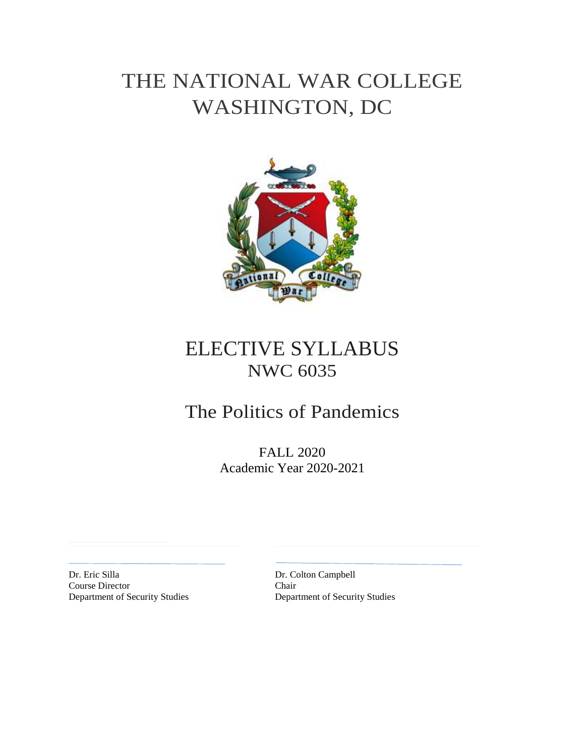# THE NATIONAL WAR COLLEGE WASHINGTON, DC



# ELECTIVE SYLLABUS NWC 6035

# The Politics of Pandemics

FALL 2020 Academic Year 2020-2021

Dr. Eric Silla Dr. Colton Campbell Course Director Department of Security Studies Department of Security Studies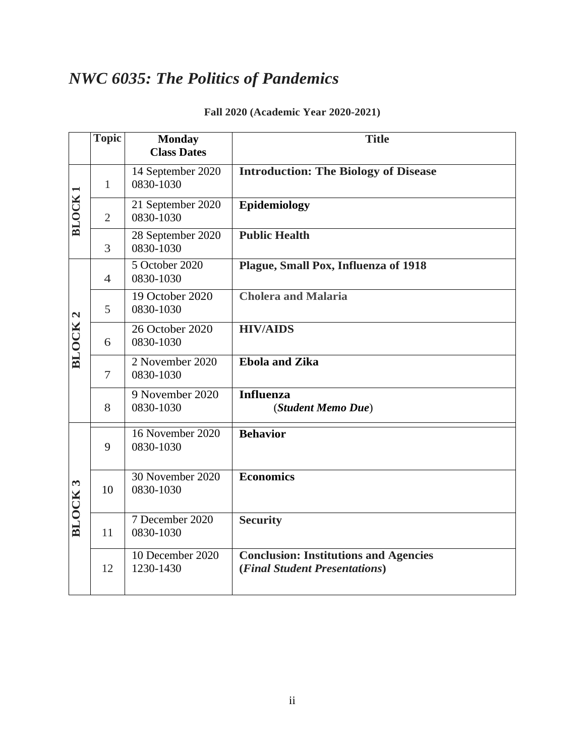# *NWC 6035: The Politics of Pandemics*

|  |  |  |  | Fall 2020 (Academic Year 2020-2021) |
|--|--|--|--|-------------------------------------|
|--|--|--|--|-------------------------------------|

|                    | <b>Topic</b>   | <b>Monday</b>                  | <b>Title</b>                                                                  |
|--------------------|----------------|--------------------------------|-------------------------------------------------------------------------------|
|                    |                | <b>Class Dates</b>             |                                                                               |
| <b>BLOCK</b>       | $\mathbf{1}$   | 14 September 2020<br>0830-1030 | <b>Introduction: The Biology of Disease</b>                                   |
|                    | $\overline{2}$ | 21 September 2020<br>0830-1030 | Epidemiology                                                                  |
|                    | 3              | 28 September 2020<br>0830-1030 | <b>Public Health</b>                                                          |
| BLOCK <sub>2</sub> | $\overline{4}$ | 5 October 2020<br>0830-1030    | Plague, Small Pox, Influenza of 1918                                          |
|                    | 5              | 19 October 2020<br>0830-1030   | <b>Cholera and Malaria</b>                                                    |
|                    | 6              | 26 October 2020<br>0830-1030   | <b>HIV/AIDS</b>                                                               |
|                    | $\overline{7}$ | 2 November 2020<br>0830-1030   | <b>Ebola and Zika</b>                                                         |
|                    | 8              | 9 November 2020<br>0830-1030   | <b>Influenza</b><br>(Student Memo Due)                                        |
| <b>BLOCK3</b>      | 9              | 16 November 2020<br>0830-1030  | <b>Behavior</b>                                                               |
|                    | 10             | 30 November 2020<br>0830-1030  | <b>Economics</b>                                                              |
|                    | 11             | 7 December 2020<br>0830-1030   | <b>Security</b>                                                               |
|                    | 12             | 10 December 2020<br>1230-1430  | <b>Conclusion: Institutions and Agencies</b><br>(Final Student Presentations) |
|                    |                |                                |                                                                               |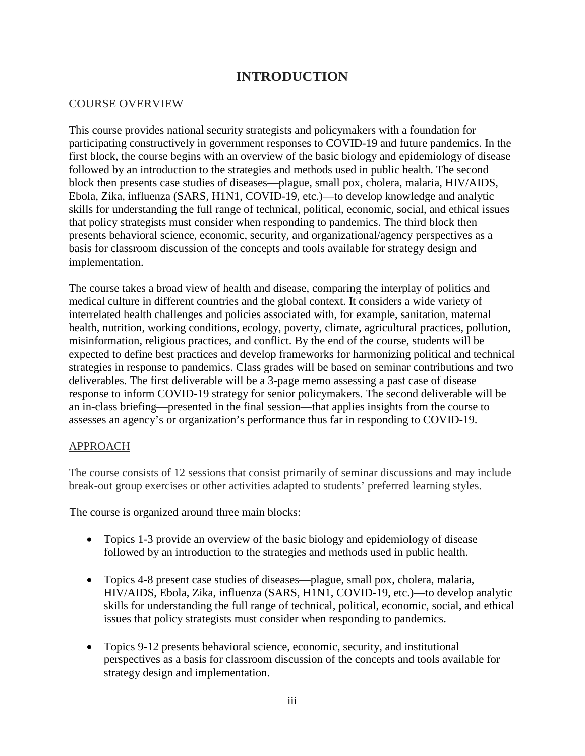# **INTRODUCTION**

#### COURSE OVERVIEW

This course provides national security strategists and policymakers with a foundation for participating constructively in government responses to COVID-19 and future pandemics. In the first block, the course begins with an overview of the basic biology and epidemiology of disease followed by an introduction to the strategies and methods used in public health. The second block then presents case studies of diseases—plague, small pox, cholera, malaria, HIV/AIDS, Ebola, Zika, influenza (SARS, H1N1, COVID-19, etc.)—to develop knowledge and analytic skills for understanding the full range of technical, political, economic, social, and ethical issues that policy strategists must consider when responding to pandemics. The third block then presents behavioral science, economic, security, and organizational/agency perspectives as a basis for classroom discussion of the concepts and tools available for strategy design and implementation.

The course takes a broad view of health and disease, comparing the interplay of politics and medical culture in different countries and the global context. It considers a wide variety of interrelated health challenges and policies associated with, for example, sanitation, maternal health, nutrition, working conditions, ecology, poverty, climate, agricultural practices, pollution, misinformation, religious practices, and conflict. By the end of the course, students will be expected to define best practices and develop frameworks for harmonizing political and technical strategies in response to pandemics. Class grades will be based on seminar contributions and two deliverables. The first deliverable will be a 3-page memo assessing a past case of disease response to inform COVID-19 strategy for senior policymakers. The second deliverable will be an in-class briefing—presented in the final session—that applies insights from the course to assesses an agency's or organization's performance thus far in responding to COVID-19.

#### APPROACH

The course consists of 12 sessions that consist primarily of seminar discussions and may include break-out group exercises or other activities adapted to students' preferred learning styles.

The course is organized around three main blocks:

- Topics 1-3 provide an overview of the basic biology and epidemiology of disease followed by an introduction to the strategies and methods used in public health.
- Topics 4-8 present case studies of diseases—plague, small pox, cholera, malaria, HIV/AIDS, Ebola, Zika, influenza (SARS, H1N1, COVID-19, etc.)—to develop analytic skills for understanding the full range of technical, political, economic, social, and ethical issues that policy strategists must consider when responding to pandemics.
- Topics 9-12 presents behavioral science, economic, security, and institutional perspectives as a basis for classroom discussion of the concepts and tools available for strategy design and implementation.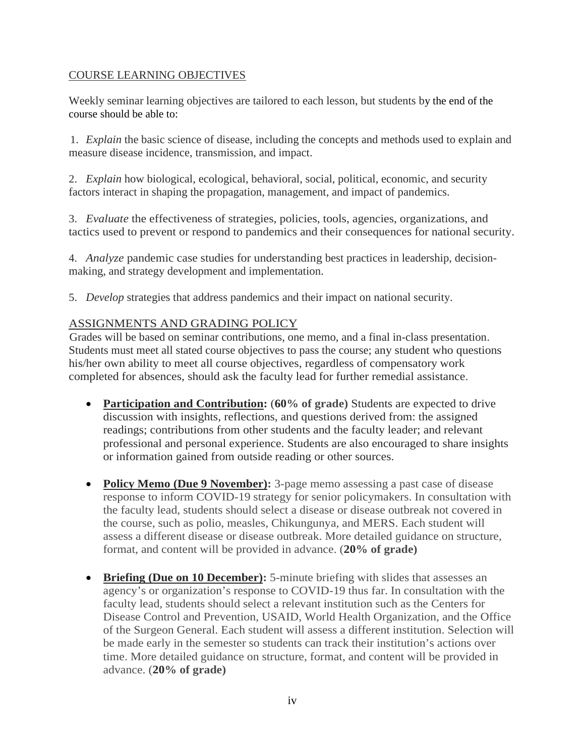#### COURSE LEARNING OBJECTIVES

Weekly seminar learning objectives are tailored to each lesson, but students by the end of the course should be able to:

1. *Explain* the basic science of disease, including the concepts and methods used to explain and measure disease incidence, transmission, and impact.

2. *Explain* how biological, ecological, behavioral, social, political, economic, and security factors interact in shaping the propagation, management, and impact of pandemics.

3. *Evaluate* the effectiveness of strategies, policies, tools, agencies, organizations, and tactics used to prevent or respond to pandemics and their consequences for national security.

4. *Analyze* pandemic case studies for understanding best practices in leadership, decisionmaking, and strategy development and implementation.

5. *Develop* strategies that address pandemics and their impact on national security.

#### ASSIGNMENTS AND GRADING POLICY

Grades will be based on seminar contributions, one memo, and a final in-class presentation. Students must meet all stated course objectives to pass the course; any student who questions his/her own ability to meet all course objectives, regardless of compensatory work completed for absences, should ask the faculty lead for further remedial assistance.

- **Participation and Contribution:** (**60% of grade)** Students are expected to drive discussion with insights, reflections, and questions derived from: the assigned readings; contributions from other students and the faculty leader; and relevant professional and personal experience. Students are also encouraged to share insights or information gained from outside reading or other sources.
- **Policy Memo (Due 9 November):** 3-page memo assessing a past case of disease response to inform COVID-19 strategy for senior policymakers. In consultation with the faculty lead, students should select a disease or disease outbreak not covered in the course, such as polio, measles, Chikungunya, and MERS. Each student will assess a different disease or disease outbreak. More detailed guidance on structure, format, and content will be provided in advance. (**20% of grade)**
- **Briefing (Due on 10 December):** 5-minute briefing with slides that assesses an agency's or organization's response to COVID-19 thus far. In consultation with the faculty lead, students should select a relevant institution such as the Centers for Disease Control and Prevention, USAID, World Health Organization, and the Office of the Surgeon General. Each student will assess a different institution. Selection will be made early in the semester so students can track their institution's actions over time. More detailed guidance on structure, format, and content will be provided in advance. (**20% of grade)**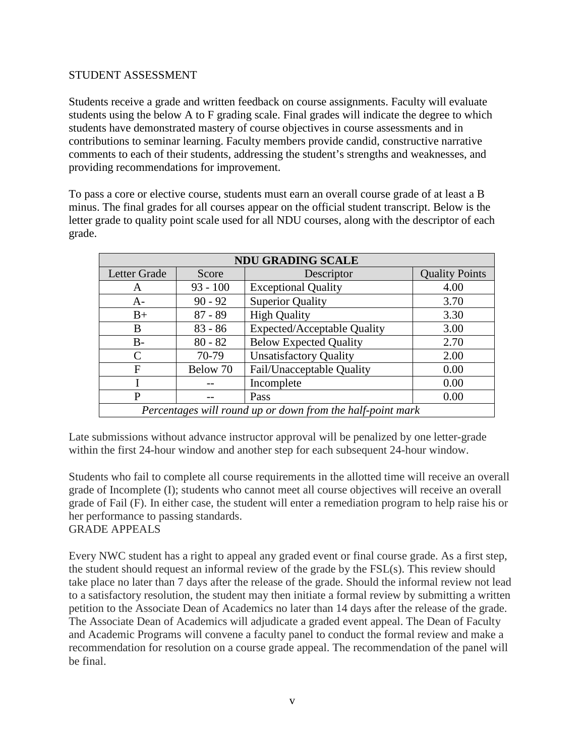#### STUDENT ASSESSMENT

Students receive a grade and written feedback on course assignments. Faculty will evaluate students using the below A to F grading scale. Final grades will indicate the degree to which students have demonstrated mastery of course objectives in course assessments and in contributions to seminar learning. Faculty members provide candid, constructive narrative comments to each of their students, addressing the student's strengths and weaknesses, and providing recommendations for improvement.

To pass a core or elective course, students must earn an overall course grade of at least a B minus. The final grades for all courses appear on the official student transcript. Below is the letter grade to quality point scale used for all NDU courses, along with the descriptor of each grade.

| <b>NDU GRADING SCALE</b>                                   |            |                                    |                       |  |
|------------------------------------------------------------|------------|------------------------------------|-----------------------|--|
| Letter Grade                                               | Score      | Descriptor                         | <b>Quality Points</b> |  |
| A                                                          | $93 - 100$ | <b>Exceptional Quality</b>         | 4.00                  |  |
| $A-$                                                       | $90 - 92$  | <b>Superior Quality</b>            | 3.70                  |  |
| $B+$                                                       | $87 - 89$  | <b>High Quality</b>                | 3.30                  |  |
| B                                                          | $83 - 86$  | <b>Expected/Acceptable Quality</b> | 3.00                  |  |
| B-                                                         | $80 - 82$  | <b>Below Expected Quality</b>      | 2.70                  |  |
| C                                                          | 70-79      | <b>Unsatisfactory Quality</b>      | 2.00                  |  |
| F                                                          | Below 70   | Fail/Unacceptable Quality          | 0.00                  |  |
|                                                            |            | Incomplete                         | 0.00                  |  |
| P                                                          |            | Pass                               | 0.00                  |  |
| Percentages will round up or down from the half-point mark |            |                                    |                       |  |

Late submissions without advance instructor approval will be penalized by one letter-grade within the first 24-hour window and another step for each subsequent 24-hour window.

Students who fail to complete all course requirements in the allotted time will receive an overall grade of Incomplete (I); students who cannot meet all course objectives will receive an overall grade of Fail (F). In either case, the student will enter a remediation program to help raise his or her performance to passing standards.

#### GRADE APPEALS

Every NWC student has a right to appeal any graded event or final course grade. As a first step, the student should request an informal review of the grade by the FSL(s). This review should take place no later than 7 days after the release of the grade. Should the informal review not lead to a satisfactory resolution, the student may then initiate a formal review by submitting a written petition to the Associate Dean of Academics no later than 14 days after the release of the grade. The Associate Dean of Academics will adjudicate a graded event appeal. The Dean of Faculty and Academic Programs will convene a faculty panel to conduct the formal review and make a recommendation for resolution on a course grade appeal. The recommendation of the panel will be final.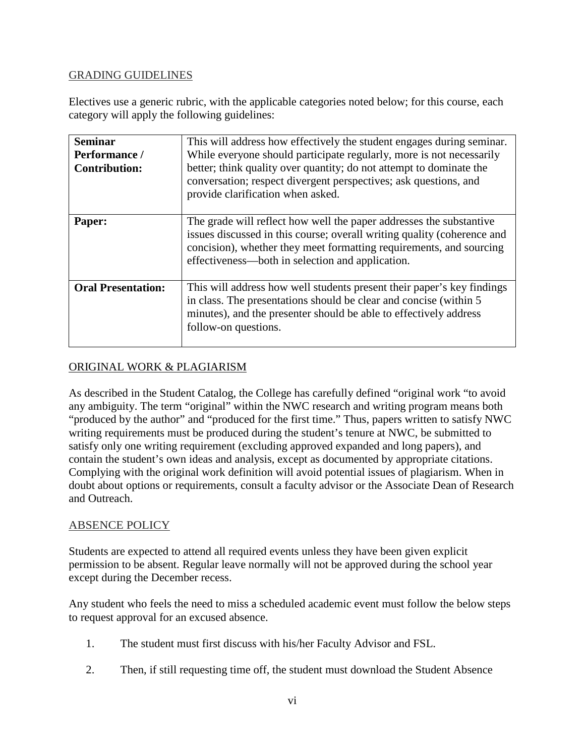#### GRADING GUIDELINES

Electives use a generic rubric, with the applicable categories noted below; for this course, each category will apply the following guidelines:

| <b>Seminar</b><br>Performance /<br><b>Contribution:</b> | This will address how effectively the student engages during seminar.<br>While everyone should participate regularly, more is not necessarily<br>better; think quality over quantity; do not attempt to dominate the<br>conversation; respect divergent perspectives; ask questions, and<br>provide clarification when asked. |
|---------------------------------------------------------|-------------------------------------------------------------------------------------------------------------------------------------------------------------------------------------------------------------------------------------------------------------------------------------------------------------------------------|
| Paper:                                                  | The grade will reflect how well the paper addresses the substantive<br>issues discussed in this course; overall writing quality (coherence and<br>concision), whether they meet formatting requirements, and sourcing<br>effectiveness—both in selection and application.                                                     |
| <b>Oral Presentation:</b>                               | This will address how well students present their paper's key findings<br>in class. The presentations should be clear and concise (within 5)<br>minutes), and the presenter should be able to effectively address<br>follow-on questions.                                                                                     |

#### ORIGINAL WORK & PLAGIARISM

As described in the Student Catalog, the College has carefully defined "original work "to avoid any ambiguity. The term "original" within the NWC research and writing program means both "produced by the author" and "produced for the first time." Thus, papers written to satisfy NWC writing requirements must be produced during the student's tenure at NWC, be submitted to satisfy only one writing requirement (excluding approved expanded and long papers), and contain the student's own ideas and analysis, except as documented by appropriate citations. Complying with the original work definition will avoid potential issues of plagiarism. When in doubt about options or requirements, consult a faculty advisor or the Associate Dean of Research and Outreach.

#### ABSENCE POLICY

Students are expected to attend all required events unless they have been given explicit permission to be absent. Regular leave normally will not be approved during the school year except during the December recess.

Any student who feels the need to miss a scheduled academic event must follow the below steps to request approval for an excused absence.

- 1. The student must first discuss with his/her Faculty Advisor and FSL.
- 2. Then, if still requesting time off, the student must download the Student Absence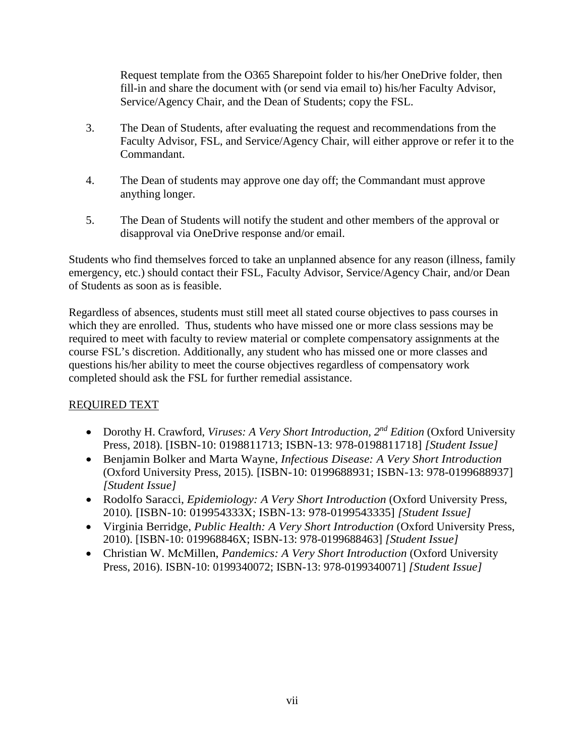Request template from the O365 Sharepoint folder to his/her OneDrive folder, then fill-in and share the document with (or send via email to) his/her Faculty Advisor, Service/Agency Chair, and the Dean of Students; copy the FSL.

- 3. The Dean of Students, after evaluating the request and recommendations from the Faculty Advisor, FSL, and Service/Agency Chair, will either approve or refer it to the Commandant.
- 4. The Dean of students may approve one day off; the Commandant must approve anything longer.
- 5. The Dean of Students will notify the student and other members of the approval or disapproval via OneDrive response and/or email.

Students who find themselves forced to take an unplanned absence for any reason (illness, family emergency, etc.) should contact their FSL, Faculty Advisor, Service/Agency Chair, and/or Dean of Students as soon as is feasible.

Regardless of absences, students must still meet all stated course objectives to pass courses in which they are enrolled. Thus, students who have missed one or more class sessions may be required to meet with faculty to review material or complete compensatory assignments at the course FSL's discretion. Additionally, any student who has missed one or more classes and questions his/her ability to meet the course objectives regardless of compensatory work completed should ask the FSL for further remedial assistance.

## REQUIRED TEXT

- Dorothy H. Crawford, *Viruses: A Very Short Introduction, 2nd Edition* (Oxford University Press, 2018). [ISBN-10: 0198811713; ISBN-13: 978-0198811718] *[Student Issue]*
- Benjamin Bolker and Marta Wayne, *Infectious Disease: A Very Short Introduction* (Oxford University Press, 2015)*.* [ISBN-10: 0199688931; ISBN-13: 978-0199688937] *[Student Issue]*
- Rodolfo Saracci, *Epidemiology: A Very Short Introduction* (Oxford University Press, 2010)*.* [ISBN-10: 019954333X; ISBN-13: 978-0199543335] *[Student Issue]*
- Virginia Berridge, *Public Health: A Very Short Introduction* (Oxford University Press, 2010). [ISBN-10: 019968846X; ISBN-13: 978-0199688463] *[Student Issue]*
- Christian W. McMillen, *Pandemics: A Very Short Introduction* (Oxford University Press, 2016). ISBN-10: 0199340072; ISBN-13: 978-0199340071] *[Student Issue]*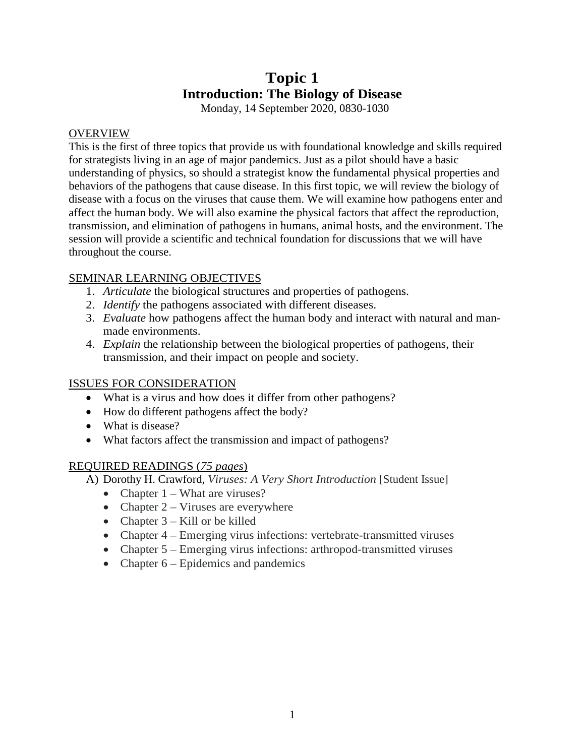# **Topic 1 Introduction: The Biology of Disease**

Monday, 14 September 2020, 0830-1030

#### **OVERVIEW**

This is the first of three topics that provide us with foundational knowledge and skills required for strategists living in an age of major pandemics. Just as a pilot should have a basic understanding of physics, so should a strategist know the fundamental physical properties and behaviors of the pathogens that cause disease. In this first topic, we will review the biology of disease with a focus on the viruses that cause them. We will examine how pathogens enter and affect the human body. We will also examine the physical factors that affect the reproduction, transmission, and elimination of pathogens in humans, animal hosts, and the environment. The session will provide a scientific and technical foundation for discussions that we will have throughout the course.

### SEMINAR LEARNING OBJECTIVES

- 1. *Articulate* the biological structures and properties of pathogens.
- 2. *Identify* the pathogens associated with different diseases.
- 3. *Evaluate* how pathogens affect the human body and interact with natural and manmade environments.
- 4. *Explain* the relationship between the biological properties of pathogens, their transmission, and their impact on people and society.

#### ISSUES FOR CONSIDERATION

- What is a virus and how does it differ from other pathogens?
- How do different pathogens affect the body?
- What is disease?
- What factors affect the transmission and impact of pathogens?

#### REQUIRED READINGS (*75 pages*)

- A) Dorothy H. Crawford, *Viruses: A Very Short Introduction* [Student Issue]
	- Chapter  $1 What are viruses?$
	- Chapter  $2 \text{Viruses}$  are everywhere
	- Chapter  $3 -$ Kill or be killed
	- Chapter 4 Emerging virus infections: vertebrate-transmitted viruses
	- Chapter 5 Emerging virus infections: arthropod-transmitted viruses
	- Chapter  $6$  Epidemics and pandemics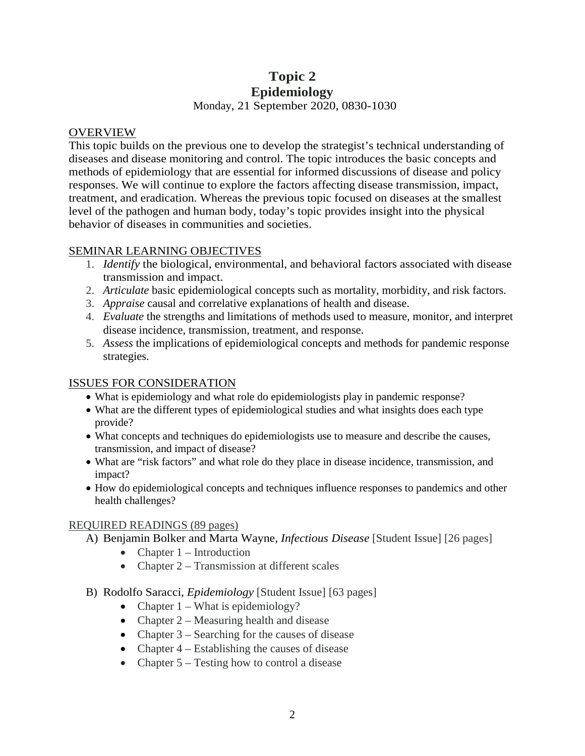## **Topic 2 Epidemiology** Monday, 21 September 2020, 0830-1030

#### **OVERVIEW**

This topic builds on the previous one to develop the strategist's technical understanding of diseases and disease monitoring and control. The topic introduces the basic concepts and methods of epidemiology that are essential for informed discussions of disease and policy responses. We will continue to explore the factors affecting disease transmission, impact, treatment, and eradication. Whereas the previous topic focused on diseases at the smallest level of the pathogen and human body, today's topic provides insight into the physical behavior of diseases in communities and societies.

#### SEMINAR LEARNING OBJECTIVES

- 1. *Identify* the biological, environmental, and behavioral factors associated with disease transmission and impact.
- 2. *Articulate* basic epidemiological concepts such as mortality, morbidity, and risk factors.
- 3. *Appraise* causal and correlative explanations of health and disease.
- 4. *Evaluate* the strengths and limitations of methods used to measure, monitor, and interpret disease incidence, transmission, treatment, and response.
- 5. *Assess* the implications of epidemiological concepts and methods for pandemic response strategies.

#### ISSUES FOR CONSIDERATION

- What is epidemiology and what role do epidemiologists play in pandemic response?
- What are the different types of epidemiological studies and what insights does each type provide?
- What concepts and techniques do epidemiologists use to measure and describe the causes, transmission, and impact of disease?
- What are "risk factors" and what role do they place in disease incidence, transmission, and impact?
- How do epidemiological concepts and techniques influence responses to pandemics and other health challenges?

#### REQUIRED READINGS (89 pages)

- A) Benjamin Bolker and Marta Wayne, *Infectious Disease* [Student Issue] [26 pages]
	- Chapter  $1$  Introduction
	- Chapter 2 Transmission at different scales
- B) Rodolfo Saracci, *Epidemiology* [Student Issue] [63 pages]
	- Chapter  $1 What is epidemiology?$
	- Chapter 2 Measuring health and disease
	- Chapter 3 Searching for the causes of disease
	- Chapter 4 Establishing the causes of disease
	- Chapter 5 Testing how to control a disease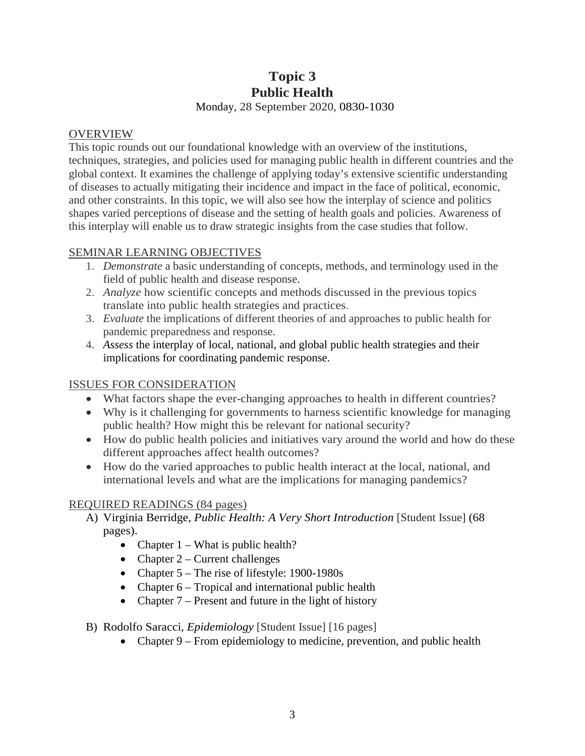# **Topic 3 Public Health**

Monday, 28 September 2020, 0830-1030

#### OVERVIEW

This topic rounds out our foundational knowledge with an overview of the institutions, techniques, strategies, and policies used for managing public health in different countries and the global context. It examines the challenge of applying today's extensive scientific understanding of diseases to actually mitigating their incidence and impact in the face of political, economic, and other constraints. In this topic, we will also see how the interplay of science and politics shapes varied perceptions of disease and the setting of health goals and policies. Awareness of this interplay will enable us to draw strategic insights from the case studies that follow.

### SEMINAR LEARNING OBJECTIVES

- 1. *Demonstrate* a basic understanding of concepts, methods, and terminology used in the field of public health and disease response.
- 2. *Analyze* how scientific concepts and methods discussed in the previous topics translate into public health strategies and practices.
- 3. *Evaluate* the implications of different theories of and approaches to public health for pandemic preparedness and response.
- 4. *Assess* the interplay of local, national, and global public health strategies and their implications for coordinating pandemic response.

#### ISSUES FOR CONSIDERATION

- What factors shape the ever-changing approaches to health in different countries?
- Why is it challenging for governments to harness scientific knowledge for managing public health? How might this be relevant for national security?
- How do public health policies and initiatives vary around the world and how do these different approaches affect health outcomes?
- How do the varied approaches to public health interact at the local, national, and international levels and what are the implications for managing pandemics?

## REQUIRED READINGS (84 pages)

- A) Virginia Berridge, *Public Health: A Very Short Introduction* [Student Issue] (68 pages).
	- Chapter  $1 What is public health?$
	- Chapter  $2$  Current challenges
	- Chapter 5 The rise of lifestyle: 1900-1980s
	- Chapter 6 Tropical and international public health
	- Chapter  $7$  Present and future in the light of history
- B) Rodolfo Saracci, *Epidemiology* [Student Issue] [16 pages]
	- Chapter 9 From epidemiology to medicine, prevention, and public health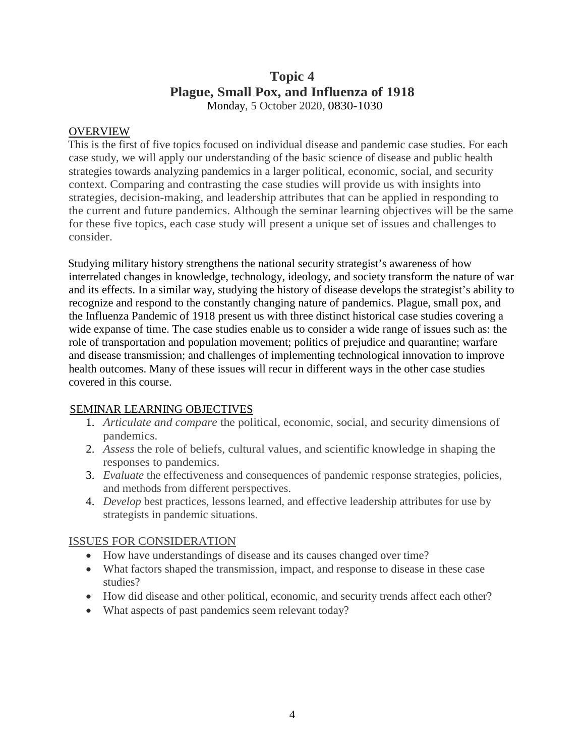## **Topic 4 Plague, Small Pox, and Influenza of 1918** Monday, 5 October 2020, 0830-1030

#### **OVERVIEW**

This is the first of five topics focused on individual disease and pandemic case studies. For each case study, we will apply our understanding of the basic science of disease and public health strategies towards analyzing pandemics in a larger political, economic, social, and security context. Comparing and contrasting the case studies will provide us with insights into strategies, decision-making, and leadership attributes that can be applied in responding to the current and future pandemics. Although the seminar learning objectives will be the same for these five topics, each case study will present a unique set of issues and challenges to consider.

Studying military history strengthens the national security strategist's awareness of how interrelated changes in knowledge, technology, ideology, and society transform the nature of war and its effects. In a similar way, studying the history of disease develops the strategist's ability to recognize and respond to the constantly changing nature of pandemics. Plague, small pox, and the Influenza Pandemic of 1918 present us with three distinct historical case studies covering a wide expanse of time. The case studies enable us to consider a wide range of issues such as: the role of transportation and population movement; politics of prejudice and quarantine; warfare and disease transmission; and challenges of implementing technological innovation to improve health outcomes. Many of these issues will recur in different ways in the other case studies covered in this course.

#### SEMINAR LEARNING OBJECTIVES

- 1. *Articulate and compare* the political, economic, social, and security dimensions of pandemics.
- 2. *Assess* the role of beliefs, cultural values, and scientific knowledge in shaping the responses to pandemics.
- 3. *Evaluate* the effectiveness and consequences of pandemic response strategies, policies, and methods from different perspectives.
- 4. *Develop* best practices, lessons learned, and effective leadership attributes for use by strategists in pandemic situations.

#### ISSUES FOR CONSIDERATION

- How have understandings of disease and its causes changed over time?
- What factors shaped the transmission, impact, and response to disease in these case studies?
- How did disease and other political, economic, and security trends affect each other?
- What aspects of past pandemics seem relevant today?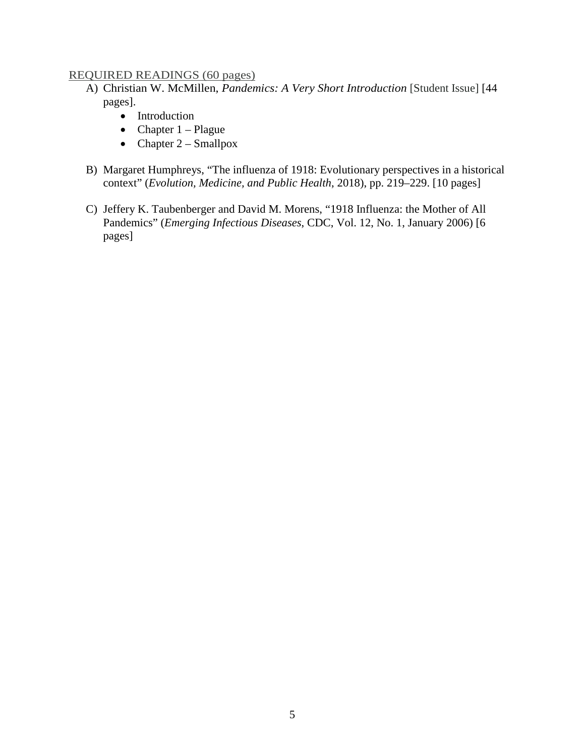#### REQUIRED READINGS (60 pages)

- A) Christian W. McMillen, *Pandemics: A Very Short Introduction* [Student Issue] [44 pages].
	- Introduction
	- Chapter  $1 -$ Plague
	- Chapter  $2 -$  Smallpox
- B) Margaret Humphreys, "The influenza of 1918: Evolutionary perspectives in a historical context" (*Evolution, Medicine, and Public Health*, 2018), pp. 219–229. [10 pages]
- C) Jeffery K. Taubenberger and David M. Morens, "1918 Influenza: the Mother of All Pandemics" (*Emerging Infectious Diseases*, CDC, Vol. 12, No. 1, January 2006) [6 pages]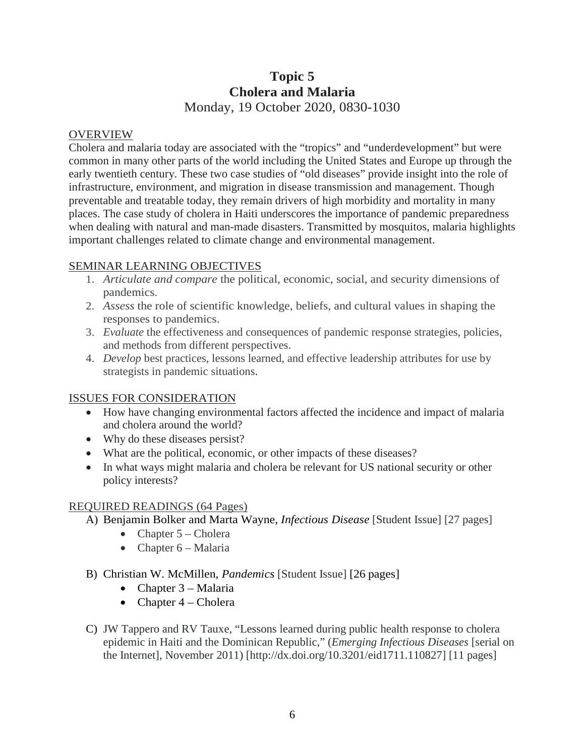# **Topic 5 Cholera and Malaria** Monday, 19 October 2020, 0830-1030

#### OVERVIEW

Cholera and malaria today are associated with the "tropics" and "underdevelopment" but were common in many other parts of the world including the United States and Europe up through the early twentieth century. These two case studies of "old diseases" provide insight into the role of infrastructure, environment, and migration in disease transmission and management. Though preventable and treatable today, they remain drivers of high morbidity and mortality in many places. The case study of cholera in Haiti underscores the importance of pandemic preparedness when dealing with natural and man-made disasters. Transmitted by mosquitos, malaria highlights important challenges related to climate change and environmental management.

#### SEMINAR LEARNING OBJECTIVES

- 1. *Articulate and compare* the political, economic, social, and security dimensions of pandemics.
- 2. *Assess* the role of scientific knowledge, beliefs, and cultural values in shaping the responses to pandemics.
- 3. *Evaluate* the effectiveness and consequences of pandemic response strategies, policies, and methods from different perspectives.
- 4. *Develop* best practices, lessons learned, and effective leadership attributes for use by strategists in pandemic situations.

#### ISSUES FOR CONSIDERATION

- How have changing environmental factors affected the incidence and impact of malaria and cholera around the world?
- Why do these diseases persist?
- What are the political, economic, or other impacts of these diseases?
- In what ways might malaria and cholera be relevant for US national security or other policy interests?

#### REQUIRED READINGS (64 Pages)

- A) Benjamin Bolker and Marta Wayne, *Infectious Disease* [Student Issue] [27 pages]
	- Chapter  $5$  Cholera
	- Chapter 6 Malaria
- B) Christian W. McMillen, *Pandemics* [Student Issue] [26 pages]
	- Chapter 3 Malaria
	- Chapter  $4$  Cholera
- C) JW Tappero and RV Tauxe, "Lessons learned during public health response to cholera epidemic in Haiti and the Dominican Republic," (*Emerging Infectious Diseases* [serial on the Internet], November 2011) [http://dx.doi.org/10.3201/eid1711.110827] [11 pages]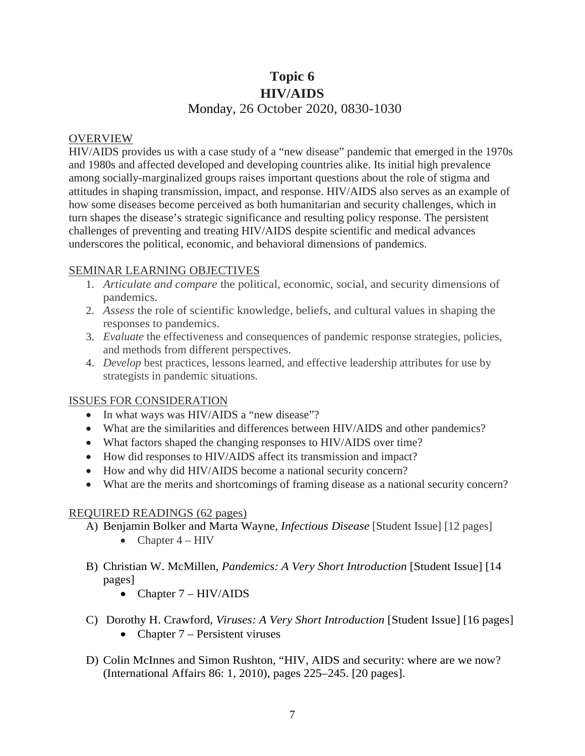# **Topic 6 HIV/AIDS** Monday, 26 October 2020, 0830-1030

#### OVERVIEW

HIV/AIDS provides us with a case study of a "new disease" pandemic that emerged in the 1970s and 1980s and affected developed and developing countries alike. Its initial high prevalence among socially-marginalized groups raises important questions about the role of stigma and attitudes in shaping transmission, impact, and response. HIV/AIDS also serves as an example of how some diseases become perceived as both humanitarian and security challenges, which in turn shapes the disease's strategic significance and resulting policy response. The persistent challenges of preventing and treating HIV/AIDS despite scientific and medical advances underscores the political, economic, and behavioral dimensions of pandemics.

#### SEMINAR LEARNING OBJECTIVES

- 1. *Articulate and compare* the political, economic, social, and security dimensions of pandemics.
- 2. *Assess* the role of scientific knowledge, beliefs, and cultural values in shaping the responses to pandemics.
- 3. *Evaluate* the effectiveness and consequences of pandemic response strategies, policies, and methods from different perspectives.
- 4. *Develop* best practices, lessons learned, and effective leadership attributes for use by strategists in pandemic situations.

#### ISSUES FOR CONSIDERATION

- In what ways was HIV/AIDS a "new disease"?
- What are the similarities and differences between HIV/AIDS and other pandemics?
- What factors shaped the changing responses to HIV/AIDS over time?
- How did responses to HIV/AIDS affect its transmission and impact?
- How and why did HIV/AIDS become a national security concern?
- What are the merits and shortcomings of framing disease as a national security concern?

#### REQUIRED READINGS (62 pages)

- A) Benjamin Bolker and Marta Wayne, *Infectious Disease* [Student Issue] [12 pages]
	- Chapter  $4 HIV$
- B) Christian W. McMillen, *Pandemics: A Very Short Introduction* [Student Issue] [14 pages]
	- Chapter  $7 HIV/ALDS$
- C) Dorothy H. Crawford, *Viruses: A Very Short Introduction* [Student Issue] [16 pages] • Chapter 7 – Persistent viruses
- D) Colin McInnes and Simon Rushton, "HIV, AIDS and security: where are we now? (International Affairs 86: 1, 2010), pages 225–245. [20 pages].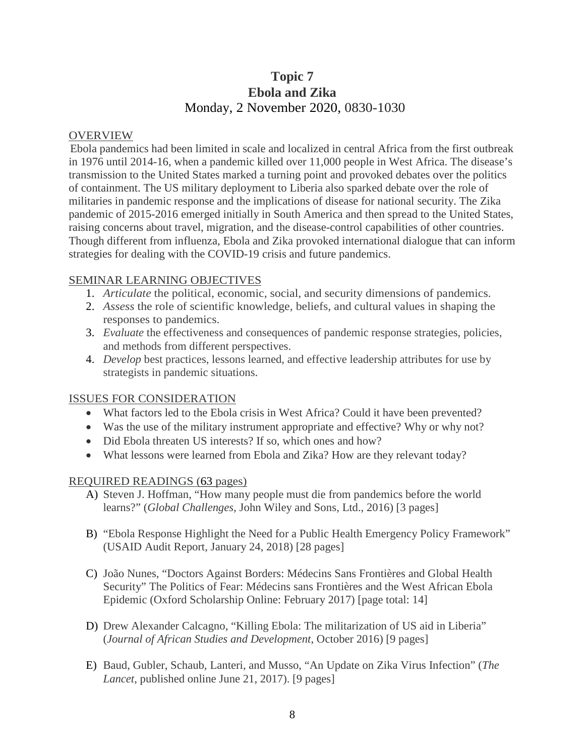# **Topic 7 Ebola and Zika** Monday, 2 November 2020, 0830-1030

#### OVERVIEW

Ebola pandemics had been limited in scale and localized in central Africa from the first outbreak in 1976 until 2014-16, when a pandemic killed over 11,000 people in West Africa. The disease's transmission to the United States marked a turning point and provoked debates over the politics of containment. The US military deployment to Liberia also sparked debate over the role of militaries in pandemic response and the implications of disease for national security. The Zika pandemic of 2015-2016 emerged initially in South America and then spread to the United States, raising concerns about travel, migration, and the disease-control capabilities of other countries. Though different from influenza, Ebola and Zika provoked international dialogue that can inform strategies for dealing with the COVID-19 crisis and future pandemics.

#### SEMINAR LEARNING OBJECTIVES

- 1. *Articulate* the political, economic, social, and security dimensions of pandemics.
- 2. *Assess* the role of scientific knowledge, beliefs, and cultural values in shaping the responses to pandemics.
- 3. *Evaluate* the effectiveness and consequences of pandemic response strategies, policies, and methods from different perspectives.
- 4. *Develop* best practices, lessons learned, and effective leadership attributes for use by strategists in pandemic situations.

#### ISSUES FOR CONSIDERATION

- What factors led to the Ebola crisis in West Africa? Could it have been prevented?
- Was the use of the military instrument appropriate and effective? Why or why not?
- Did Ebola threaten US interests? If so, which ones and how?
- What lessons were learned from Ebola and Zika? How are they relevant today?

#### REQUIRED READINGS (63 pages)

- A) Steven J. Hoffman, "How many people must die from pandemics before the world learns?" (*Global Challenges*, John Wiley and Sons, Ltd., 2016) [3 pages]
- B) "Ebola Response Highlight the Need for a Public Health Emergency Policy Framework" (USAID Audit Report, January 24, 2018) [28 pages]
- C) João Nunes, "Doctors Against Borders: Médecins Sans Frontières and Global Health Security" The Politics of Fear: Médecins sans Frontières and the West African Ebola Epidemic (Oxford Scholarship Online: February 2017) [page total: 14]
- D) Drew Alexander Calcagno, "Killing Ebola: The militarization of US aid in Liberia" (*Journal of African Studies and Development*, October 2016) [9 pages]
- E) Baud, Gubler, Schaub, Lanteri, and Musso, "An Update on Zika Virus Infection" (*The Lancet*, published online June 21, 2017). [9 pages]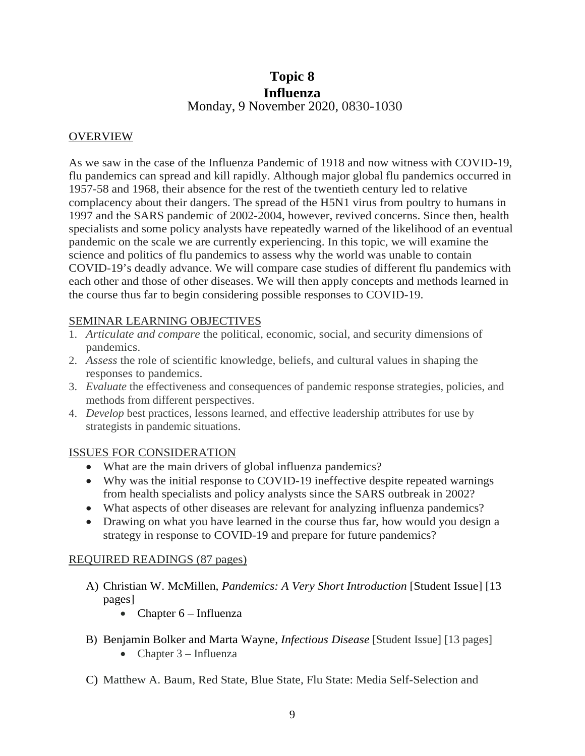# **Topic 8 Influenza** Monday, 9 November 2020, 0830-1030

#### **OVERVIEW**

As we saw in the case of the Influenza Pandemic of 1918 and now witness with COVID-19, flu pandemics can spread and kill rapidly. Although major global flu pandemics occurred in 1957-58 and 1968, their absence for the rest of the twentieth century led to relative complacency about their dangers. The spread of the H5N1 virus from poultry to humans in 1997 and the SARS pandemic of 2002-2004, however, revived concerns. Since then, health specialists and some policy analysts have repeatedly warned of the likelihood of an eventual pandemic on the scale we are currently experiencing. In this topic, we will examine the science and politics of flu pandemics to assess why the world was unable to contain COVID-19's deadly advance. We will compare case studies of different flu pandemics with each other and those of other diseases. We will then apply concepts and methods learned in the course thus far to begin considering possible responses to COVID-19.

#### SEMINAR LEARNING OBJECTIVES

- 1. *Articulate and compare* the political, economic, social, and security dimensions of pandemics.
- 2. *Assess* the role of scientific knowledge, beliefs, and cultural values in shaping the responses to pandemics.
- 3. *Evaluate* the effectiveness and consequences of pandemic response strategies, policies, and methods from different perspectives.
- 4. *Develop* best practices, lessons learned, and effective leadership attributes for use by strategists in pandemic situations.

#### ISSUES FOR CONSIDERATION

- What are the main drivers of global influenza pandemics?
- Why was the initial response to COVID-19 ineffective despite repeated warnings from health specialists and policy analysts since the SARS outbreak in 2002?
- What aspects of other diseases are relevant for analyzing influenza pandemics?
- Drawing on what you have learned in the course thus far, how would you design a strategy in response to COVID-19 and prepare for future pandemics?

#### REQUIRED READINGS (87 pages)

- A) Christian W. McMillen, *Pandemics: A Very Short Introduction* [Student Issue] [13 pages]
	- Chapter  $6$  Influenza
- B) Benjamin Bolker and Marta Wayne, *Infectious Disease* [Student Issue] [13 pages] • Chapter  $3$  – Influenza
- C) Matthew A. Baum, Red State, Blue State, Flu State: Media Self-Selection and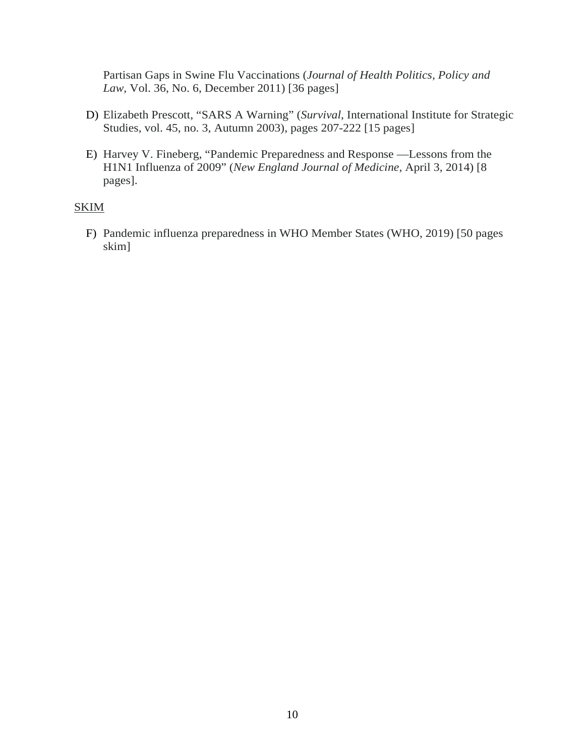Partisan Gaps in Swine Flu Vaccinations (*Journal of Health Politics, Policy and Law*, Vol. 36, No. 6, December 2011) [36 pages]

- D) Elizabeth Prescott, "SARS A Warning" (*Survival*, International Institute for Strategic Studies, vol. 45, no. 3, Autumn 2003), pages 207-222 [15 pages]
- E) Harvey V. Fineberg, "Pandemic Preparedness and Response —Lessons from the H1N1 Influenza of 2009" (*New England Journal of Medicine,* April 3, 2014) [8 pages].

#### **SKIM**

F) Pandemic influenza preparedness in WHO Member States (WHO, 2019) [50 pages skim]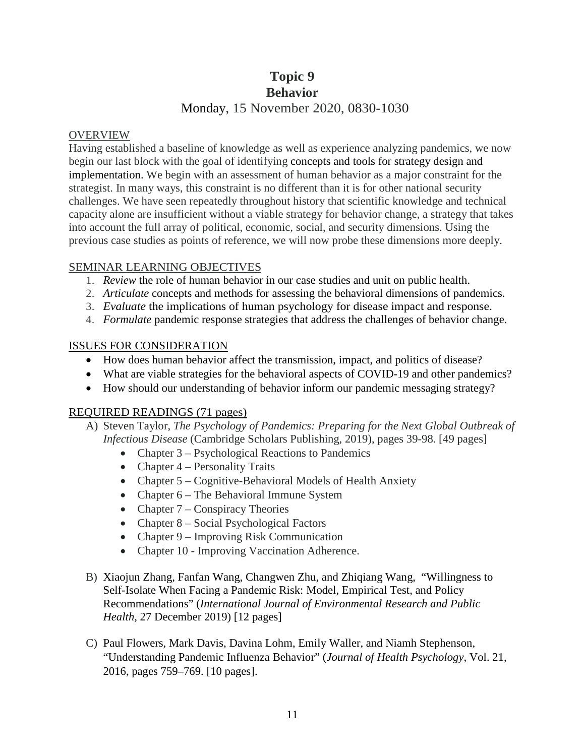# **Topic 9**

## **Behavior**

## Monday, 15 November 2020, 0830-1030

#### OVERVIEW

Having established a baseline of knowledge as well as experience analyzing pandemics, we now begin our last block with the goal of identifying concepts and tools for strategy design and implementation. We begin with an assessment of human behavior as a major constraint for the strategist. In many ways, this constraint is no different than it is for other national security challenges. We have seen repeatedly throughout history that scientific knowledge and technical capacity alone are insufficient without a viable strategy for behavior change, a strategy that takes into account the full array of political, economic, social, and security dimensions. Using the previous case studies as points of reference, we will now probe these dimensions more deeply.

#### SEMINAR LEARNING OBJECTIVES

- 1. *Review* the role of human behavior in our case studies and unit on public health.
- 2. *Articulate* concepts and methods for assessing the behavioral dimensions of pandemics.
- 3. *Evaluate* the implications of human psychology for disease impact and response.
- 4. *Formulate* pandemic response strategies that address the challenges of behavior change.

#### ISSUES FOR CONSIDERATION

- How does human behavior affect the transmission, impact, and politics of disease?
- What are viable strategies for the behavioral aspects of COVID-19 and other pandemics?
- How should our understanding of behavior inform our pandemic messaging strategy?

#### REQUIRED READINGS (71 pages)

- A) Steven Taylor, *The Psychology of Pandemics: Preparing for the Next Global Outbreak of Infectious Disease* (Cambridge Scholars Publishing, 2019), pages 39-98. [49 pages]
	- Chapter 3 Psychological Reactions to Pandemics
	- Chapter 4 Personality Traits
	- Chapter 5 Cognitive-Behavioral Models of Health Anxiety
	- Chapter 6 The Behavioral Immune System
	- Chapter  $7$  Conspiracy Theories
	- Chapter 8 Social Psychological Factors
	- Chapter 9 Improving Risk Communication
	- Chapter 10 Improving Vaccination Adherence.
- B) Xiaojun Zhang, Fanfan Wang, Changwen Zhu, and Zhiqiang Wang, "Willingness to Self-Isolate When Facing a Pandemic Risk: Model, Empirical Test, and Policy Recommendations" (*International Journal of Environmental Research and Public Health*, 27 December 2019) [12 pages]
- C) Paul Flowers, Mark Davis, Davina Lohm, Emily Waller, and Niamh Stephenson, "Understanding Pandemic Influenza Behavior" (*Journal of Health Psychology*, Vol. 21, 2016, pages 759–769. [10 pages].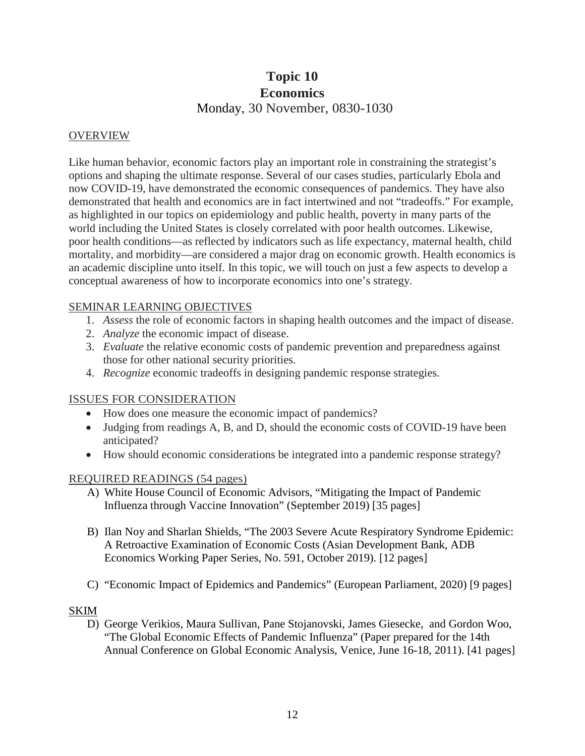# **Topic 10 Economics** Monday, 30 November, 0830-1030

#### **OVERVIEW**

Like human behavior, economic factors play an important role in constraining the strategist's options and shaping the ultimate response. Several of our cases studies, particularly Ebola and now COVID-19, have demonstrated the economic consequences of pandemics. They have also demonstrated that health and economics are in fact intertwined and not "tradeoffs." For example, as highlighted in our topics on epidemiology and public health, poverty in many parts of the world including the United States is closely correlated with poor health outcomes. Likewise, poor health conditions—as reflected by indicators such as life expectancy, maternal health, child mortality, and morbidity—are considered a major drag on economic growth. Health economics is an academic discipline unto itself. In this topic, we will touch on just a few aspects to develop a conceptual awareness of how to incorporate economics into one's strategy.

#### SEMINAR LEARNING OBJECTIVES

- 1. *Assess* the role of economic factors in shaping health outcomes and the impact of disease.
- 2. *Analyze* the economic impact of disease.
- 3. *Evaluate* the relative economic costs of pandemic prevention and preparedness against those for other national security priorities.
- 4. *Recognize* economic tradeoffs in designing pandemic response strategies.

#### ISSUES FOR CONSIDERATION

- How does one measure the economic impact of pandemics?
- Judging from readings A, B, and D, should the economic costs of COVID-19 have been anticipated?
- How should economic considerations be integrated into a pandemic response strategy?

#### REQUIRED READINGS (54 pages)

- A) White House Council of Economic Advisors, "Mitigating the Impact of Pandemic Influenza through Vaccine Innovation" (September 2019) [35 pages]
- B) Ilan Noy and Sharlan Shields, "The 2003 Severe Acute Respiratory Syndrome Epidemic: A Retroactive Examination of Economic Costs (Asian Development Bank, ADB Economics Working Paper Series, No. 591, October 2019). [12 pages]
- C) "Economic Impact of Epidemics and Pandemics" (European Parliament, 2020) [9 pages]

#### SKIM

D) George Verikios, Maura Sullivan, Pane Stojanovski, James Giesecke, and Gordon Woo, "The Global Economic Effects of Pandemic Influenza" (Paper prepared for the 14th Annual Conference on Global Economic Analysis, Venice, June 16-18, 2011). [41 pages]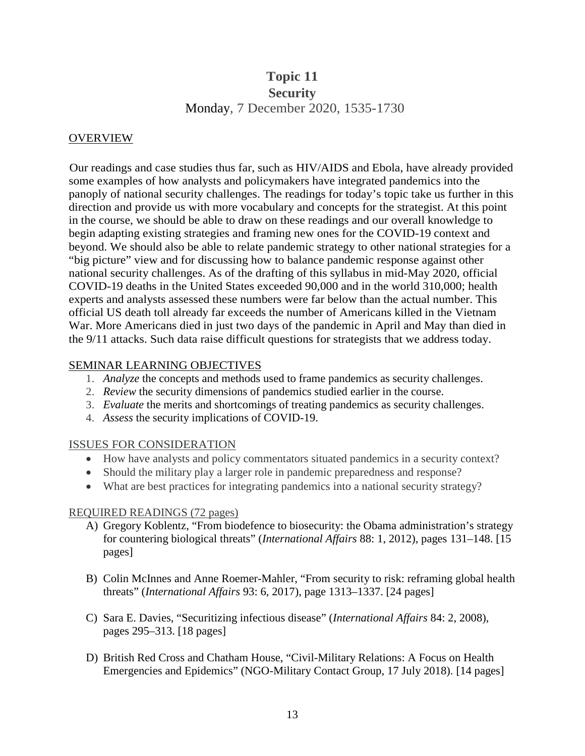# **Topic 11 Security** Monday, 7 December 2020, 1535-1730

#### OVERVIEW

Our readings and case studies thus far, such as HIV/AIDS and Ebola, have already provided some examples of how analysts and policymakers have integrated pandemics into the panoply of national security challenges. The readings for today's topic take us further in this direction and provide us with more vocabulary and concepts for the strategist. At this point in the course, we should be able to draw on these readings and our overall knowledge to begin adapting existing strategies and framing new ones for the COVID-19 context and beyond. We should also be able to relate pandemic strategy to other national strategies for a "big picture" view and for discussing how to balance pandemic response against other national security challenges. As of the drafting of this syllabus in mid-May 2020, official COVID-19 deaths in the United States exceeded 90,000 and in the world 310,000; health experts and analysts assessed these numbers were far below than the actual number. This official US death toll already far exceeds the number of Americans killed in the Vietnam War. More Americans died in just two days of the pandemic in April and May than died in the 9/11 attacks. Such data raise difficult questions for strategists that we address today.

#### SEMINAR LEARNING OBJECTIVES

- 1. *Analyze* the concepts and methods used to frame pandemics as security challenges.
- 2. *Review* the security dimensions of pandemics studied earlier in the course.
- 3. *Evaluate* the merits and shortcomings of treating pandemics as security challenges.
- 4. *Assess* the security implications of COVID-19.

#### ISSUES FOR CONSIDERATION

- How have analysts and policy commentators situated pandemics in a security context?
- Should the military play a larger role in pandemic preparedness and response?
- What are best practices for integrating pandemics into a national security strategy?

#### REQUIRED READINGS (72 pages)

- A) Gregory Koblentz, "From biodefence to biosecurity: the Obama administration's strategy for countering biological threats" (*International Affairs* 88: 1, 2012), pages 131–148. [15 pages]
- B) Colin McInnes and Anne Roemer-Mahler, "From security to risk: reframing global health threats" (*International Affairs* 93: 6, 2017), page 1313–1337. [24 pages]
- C) Sara E. Davies, "Securitizing infectious disease" (*International Affairs* 84: 2, 2008), pages 295–313. [18 pages]
- D) British Red Cross and Chatham House, "Civil-Military Relations: A Focus on Health Emergencies and Epidemics" (NGO-Military Contact Group, 17 July 2018). [14 pages]